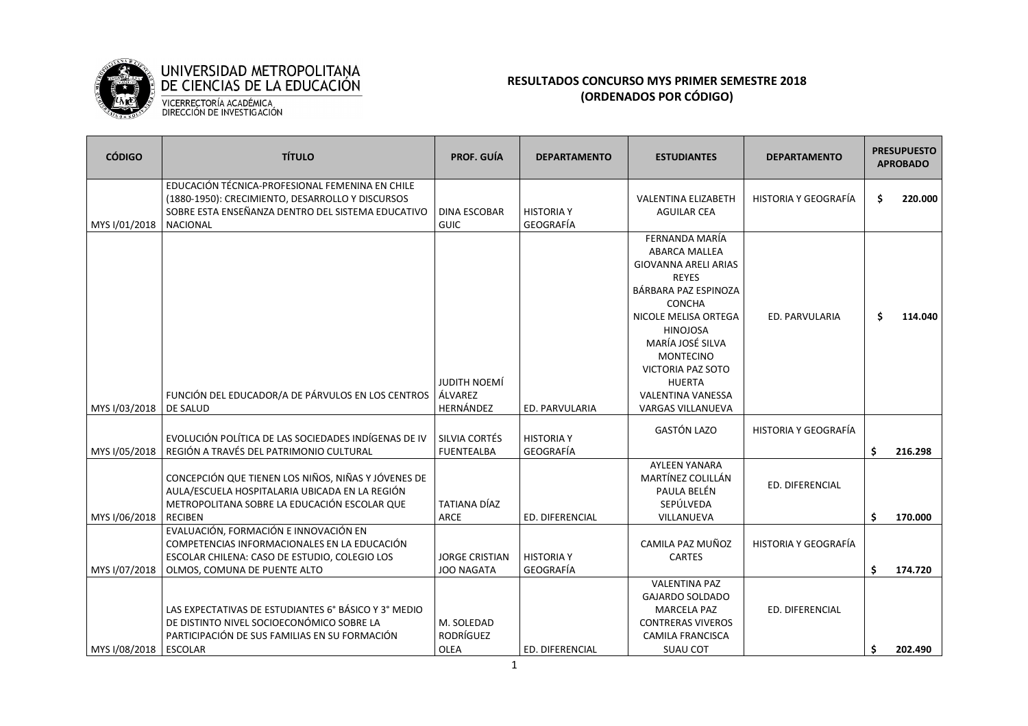

## **RESULTADOS CONCURSO MYS PRIMER SEMESTRE 2018 (ORDENADOS POR CÓDIGO)**

| <b>CÓDIGO</b> | <b>TÍTULO</b>                                                                                                                                                               | <b>PROF. GUÍA</b>                           | <b>DEPARTAMENTO</b>            | <b>ESTUDIANTES</b>                                                                                                                                                                                                                                                                                       | <b>DEPARTAMENTO</b>  | <b>PRESUPUESTO</b><br><b>APROBADO</b> |         |
|---------------|-----------------------------------------------------------------------------------------------------------------------------------------------------------------------------|---------------------------------------------|--------------------------------|----------------------------------------------------------------------------------------------------------------------------------------------------------------------------------------------------------------------------------------------------------------------------------------------------------|----------------------|---------------------------------------|---------|
| MYS I/01/2018 | EDUCACIÓN TÉCNICA-PROFESIONAL FEMENINA EN CHILE<br>(1880-1950): CRECIMIENTO, DESARROLLO Y DISCURSOS<br>SOBRE ESTA ENSEÑANZA DENTRO DEL SISTEMA EDUCATIVO<br><b>NACIONAL</b> | <b>DINA ESCOBAR</b><br><b>GUIC</b>          | <b>HISTORIA Y</b><br>GEOGRAFÍA | <b>VALENTINA ELIZABETH</b><br><b>AGUILAR CEA</b>                                                                                                                                                                                                                                                         | HISTORIA Y GEOGRAFÍA | \$                                    | 220.000 |
| MYS I/03/2018 | FUNCIÓN DEL EDUCADOR/A DE PÁRVULOS EN LOS CENTROS<br><b>DE SALUD</b>                                                                                                        | <b>JUDITH NOEMÍ</b><br>ÁLVAREZ<br>HERNÁNDEZ | ED. PARVULARIA                 | FERNANDA MARÍA<br><b>ABARCA MALLEA</b><br><b>GIOVANNA ARELI ARIAS</b><br><b>REYES</b><br>BÁRBARA PAZ ESPINOZA<br>CONCHA<br>NICOLE MELISA ORTEGA<br><b>HINOJOSA</b><br>MARÍA JOSÉ SILVA<br><b>MONTECINO</b><br><b>VICTORIA PAZ SOTO</b><br><b>HUERTA</b><br><b>VALENTINA VANESSA</b><br>VARGAS VILLANUEVA | ED. PARVULARIA       | \$.                                   | 114.040 |
| MYS I/05/2018 | EVOLUCIÓN POLÍTICA DE LAS SOCIEDADES INDÍGENAS DE IV<br>REGIÓN A TRAVÉS DEL PATRIMONIO CULTURAL                                                                             | SILVIA CORTÉS<br><b>FUENTEALBA</b>          | <b>HISTORIA Y</b><br>GEOGRAFÍA | <b>GASTÓN LAZO</b>                                                                                                                                                                                                                                                                                       | HISTORIA Y GEOGRAFÍA | Ś.                                    | 216.298 |
| MYS I/06/2018 | CONCEPCIÓN QUE TIENEN LOS NIÑOS, NIÑAS Y JÓVENES DE<br>AULA/ESCUELA HOSPITALARIA UBICADA EN LA REGIÓN<br>METROPOLITANA SOBRE LA EDUCACIÓN ESCOLAR QUE<br><b>RECIBEN</b>     | TATIANA DÍAZ<br>ARCE                        | ED. DIFERENCIAL                | <b>AYLEEN YANARA</b><br>MARTÍNEZ COLILLÁN<br>PAULA BELÉN<br>SEPÚLVEDA<br>VILLANUEVA                                                                                                                                                                                                                      | ED. DIFERENCIAL      | \$                                    | 170.000 |
| MYS I/07/2018 | EVALUACIÓN, FORMACIÓN E INNOVACIÓN EN<br>COMPETENCIAS INFORMACIONALES EN LA EDUCACIÓN<br>ESCOLAR CHILENA: CASO DE ESTUDIO, COLEGIO LOS<br>OLMOS, COMUNA DE PUENTE ALTO      | <b>JORGE CRISTIAN</b><br><b>JOO NAGATA</b>  | <b>HISTORIA Y</b><br>GEOGRAFÍA | CAMILA PAZ MUÑOZ<br><b>CARTES</b>                                                                                                                                                                                                                                                                        | HISTORIA Y GEOGRAFÍA | Ś.                                    | 174.720 |
| MYS I/08/2018 | LAS EXPECTATIVAS DE ESTUDIANTES 6° BÁSICO Y 3° MEDIO<br>DE DISTINTO NIVEL SOCIOECONÓMICO SOBRE LA<br>PARTICIPACIÓN DE SUS FAMILIAS EN SU FORMACIÓN<br><b>ESCOLAR</b>        | M. SOLEDAD<br>RODRÍGUEZ<br>OLEA             | ED. DIFERENCIAL                | <b>VALENTINA PAZ</b><br>GAJARDO SOLDADO<br><b>MARCELA PAZ</b><br><b>CONTRERAS VIVEROS</b><br><b>CAMILA FRANCISCA</b><br><b>SUAU COT</b>                                                                                                                                                                  | ED. DIFERENCIAL      | Ŝ.                                    | 202.490 |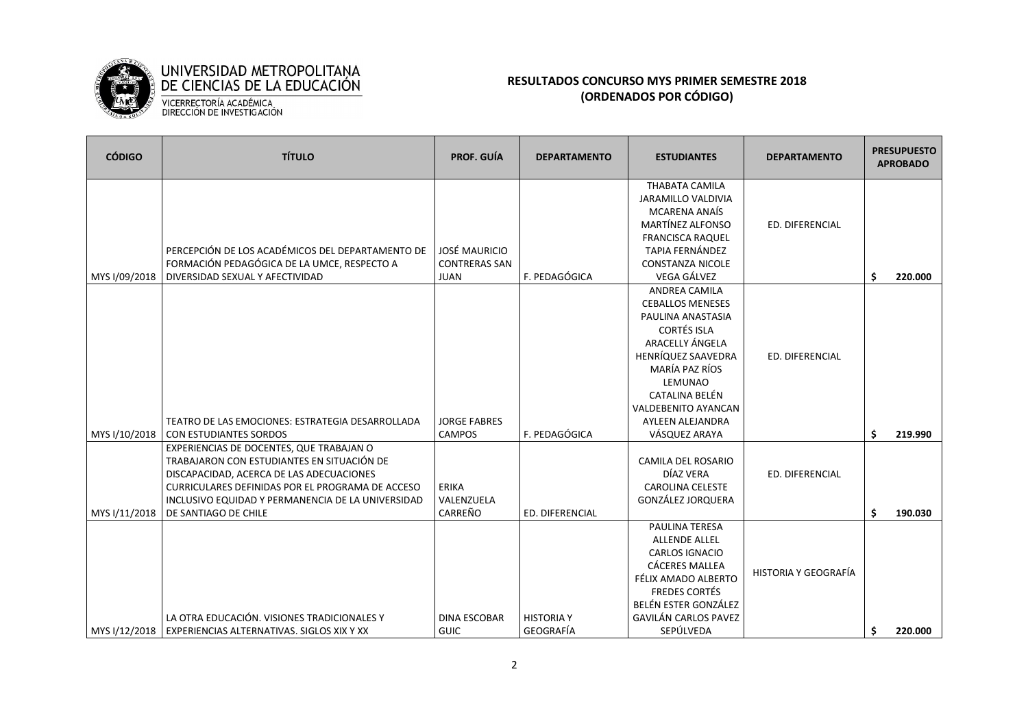

## **RESULTADOS CONCURSO MYS PRIMER SEMESTRE 2018 (ORDENADOS POR CÓDIGO)**

| <b>CÓDIGO</b> | <b>TÍTULO</b>                                                                                                                                                                                                                                                       | <b>PROF. GUÍA</b>                                           | <b>DEPARTAMENTO</b>            | <b>ESTUDIANTES</b>                                                                                                                                                                                                                                           | <b>DEPARTAMENTO</b>  |          | <b>PRESUPUESTO</b><br><b>APROBADO</b> |
|---------------|---------------------------------------------------------------------------------------------------------------------------------------------------------------------------------------------------------------------------------------------------------------------|-------------------------------------------------------------|--------------------------------|--------------------------------------------------------------------------------------------------------------------------------------------------------------------------------------------------------------------------------------------------------------|----------------------|----------|---------------------------------------|
| MYS I/09/2018 | PERCEPCIÓN DE LOS ACADÉMICOS DEL DEPARTAMENTO DE<br>FORMACIÓN PEDAGÓGICA DE LA UMCE, RESPECTO A<br>DIVERSIDAD SEXUAL Y AFECTIVIDAD                                                                                                                                  | <b>JOSÉ MAURICIO</b><br><b>CONTRERAS SAN</b><br><b>JUAN</b> | F. PEDAGÓGICA                  | <b>THABATA CAMILA</b><br><b>JARAMILLO VALDIVIA</b><br><b>MCARENA ANAÍS</b><br><b>MARTÍNEZ ALFONSO</b><br><b>FRANCISCA RAQUEL</b><br><b>TAPIA FERNÁNDEZ</b><br><b>CONSTANZA NICOLE</b><br>VEGA GÁLVEZ                                                         | ED. DIFERENCIAL      |          | 220.000                               |
| MYS I/10/2018 | TEATRO DE LAS EMOCIONES: ESTRATEGIA DESARROLLADA<br>CON ESTUDIANTES SORDOS                                                                                                                                                                                          | <b>JORGE FABRES</b><br><b>CAMPOS</b>                        | F. PEDAGÓGICA                  | <b>ANDREA CAMILA</b><br><b>CEBALLOS MENESES</b><br>PAULINA ANASTASIA<br><b>CORTÉS ISLA</b><br>ARACELLY ÁNGELA<br>HENRÍQUEZ SAAVEDRA<br>MARÍA PAZ RÍOS<br><b>LEMUNAO</b><br>CATALINA BELÉN<br><b>VALDEBENITO AYANCAN</b><br>AYLEEN ALEJANDRA<br>VÁSQUEZ ARAYA | ED. DIFERENCIAL      | Ŝ.<br>Ś. | 219.990                               |
| MYS I/11/2018 | EXPERIENCIAS DE DOCENTES, QUE TRABAJAN O<br>TRABAJARON CON ESTUDIANTES EN SITUACIÓN DE<br>DISCAPACIDAD, ACERCA DE LAS ADECUACIONES<br>CURRICULARES DEFINIDAS POR EL PROGRAMA DE ACCESO<br>INCLUSIVO EQUIDAD Y PERMANENCIA DE LA UNIVERSIDAD<br>DE SANTIAGO DE CHILE | <b>ERIKA</b><br>VALENZUELA<br>CARREÑO                       | ED. DIFERENCIAL                | <b>CAMILA DEL ROSARIO</b><br>DÍAZ VERA<br><b>CAROLINA CELESTE</b><br>GONZÁLEZ JORQUERA                                                                                                                                                                       | ED. DIFERENCIAL      | Ŝ.       | 190.030                               |
| MYS I/12/2018 | LA OTRA EDUCACIÓN. VISIONES TRADICIONALES Y<br>EXPERIENCIAS ALTERNATIVAS. SIGLOS XIX Y XX                                                                                                                                                                           | <b>DINA ESCOBAR</b><br><b>GUIC</b>                          | <b>HISTORIA Y</b><br>GEOGRAFÍA | <b>PAULINA TERESA</b><br><b>ALLENDE ALLEL</b><br><b>CARLOS IGNACIO</b><br><b>CÁCERES MALLEA</b><br>FÉLIX AMADO ALBERTO<br><b>FREDES CORTÉS</b><br>BELÉN ESTER GONZÁLEZ<br><b>GAVILÁN CARLOS PAVEZ</b><br>SEPÚLVEDA                                           | HISTORIA Y GEOGRAFÍA | \$       | 220.000                               |